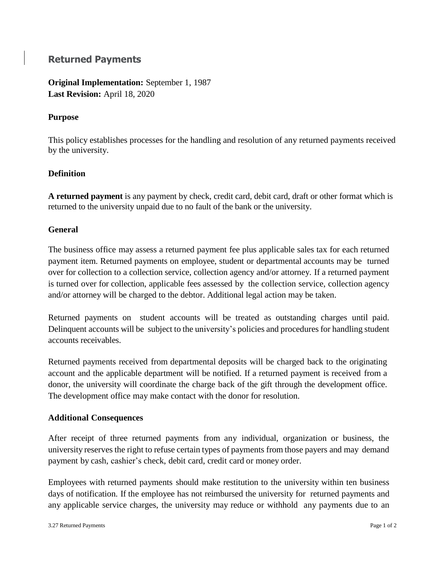# **Returned Payments**

**Original Implementation:** September 1, 1987 **Last Revision:** April 18, 2020

## **Purpose**

This policy establishes processes for the handling and resolution of any returned payments received by the university.

## **Definition**

**A returned payment** is any payment by check, credit card, debit card, draft or other format which is returned to the university unpaid due to no fault of the bank or the university.

### **General**

The business office may assess a returned payment fee plus applicable sales tax for each returned payment item. Returned payments on employee, student or departmental accounts may be turned over for collection to a collection service, collection agency and/or attorney. If a returned payment is turned over for collection, applicable fees assessed by the collection service, collection agency and/or attorney will be charged to the debtor. Additional legal action may be taken.

Returned payments on student accounts will be treated as outstanding charges until paid. Delinquent accounts will be subject to the university's policies and procedures for handling student accounts receivables.

Returned payments received from departmental deposits will be charged back to the originating account and the applicable department will be notified. If a returned payment is received from a donor, the university will coordinate the charge back of the gift through the development office. The development office may make contact with the donor for resolution.

### **Additional Consequences**

After receipt of three returned payments from any individual, organization or business, the university reserves the right to refuse certain types of payments from those payers and may demand payment by cash, cashier's check, debit card, credit card or money order.

Employees with returned payments should make restitution to the university within ten business days of notification. If the employee has not reimbursed the university for returned payments and any applicable service charges, the university may reduce or withhold any payments due to an